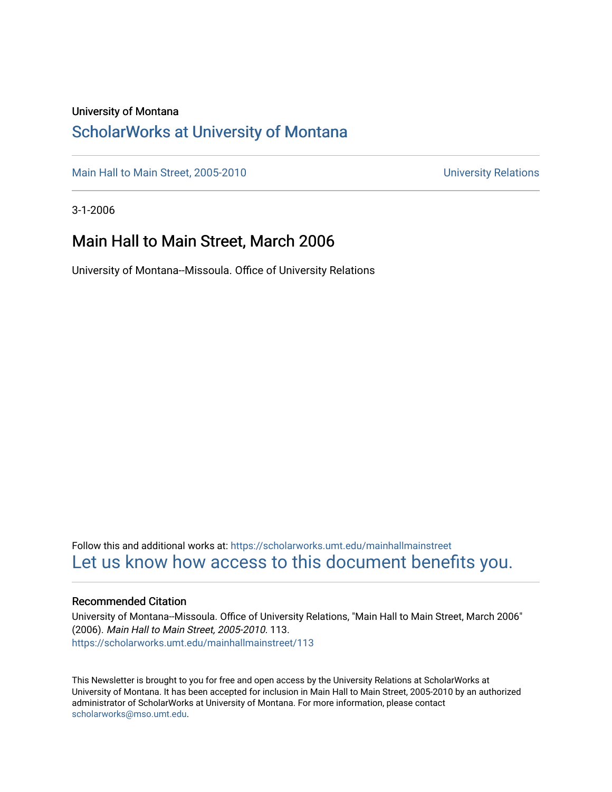#### University of Montana

### [ScholarWorks at University of Montana](https://scholarworks.umt.edu/)

[Main Hall to Main Street, 2005-2010](https://scholarworks.umt.edu/mainhallmainstreet) Main Hall to Main Street, 2005-2010

3-1-2006

### Main Hall to Main Street, March 2006

University of Montana--Missoula. Office of University Relations

Follow this and additional works at: [https://scholarworks.umt.edu/mainhallmainstreet](https://scholarworks.umt.edu/mainhallmainstreet?utm_source=scholarworks.umt.edu%2Fmainhallmainstreet%2F113&utm_medium=PDF&utm_campaign=PDFCoverPages) [Let us know how access to this document benefits you.](https://goo.gl/forms/s2rGfXOLzz71qgsB2) 

#### Recommended Citation

University of Montana--Missoula. Office of University Relations, "Main Hall to Main Street, March 2006" (2006). Main Hall to Main Street, 2005-2010. 113. [https://scholarworks.umt.edu/mainhallmainstreet/113](https://scholarworks.umt.edu/mainhallmainstreet/113?utm_source=scholarworks.umt.edu%2Fmainhallmainstreet%2F113&utm_medium=PDF&utm_campaign=PDFCoverPages)

This Newsletter is brought to you for free and open access by the University Relations at ScholarWorks at University of Montana. It has been accepted for inclusion in Main Hall to Main Street, 2005-2010 by an authorized administrator of ScholarWorks at University of Montana. For more information, please contact [scholarworks@mso.umt.edu.](mailto:scholarworks@mso.umt.edu)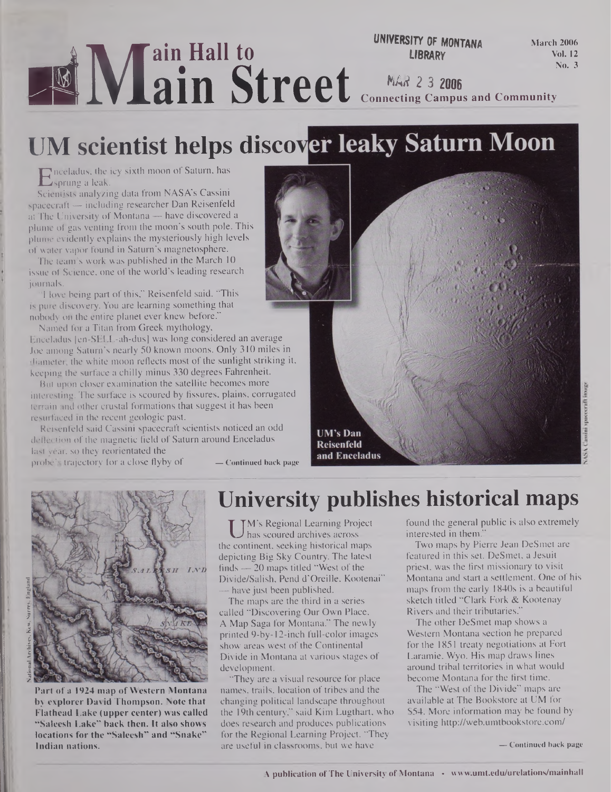#### **i 1% ^ain Hall to EXAMPLE 18888Y**<br> **EXAMPLE 1988 2328 UNIVERSITY OF MONTANA March 2006 Vol. 12 No. 3** *MA# 2* **3 2006 Connecting Campus and Community**

# **UM scientist helps disco**

Enceladus, the icy sixth moon of Saturn, has<br>Scientists analyzing data from NASA's Cassini sprung a leak.

Scientists analyzing data from NASA's Cassini spacecraft — including researcher Dan Reisenfeld at The University of Montana — have discovered a plume of gas venting from the moon's south pole. This plume evidently explains the mysteriously high levels of water vapor found in Saturn's magnetosphere.

The team's work was published in the March 10 issue of Science, one of the world's leading research journals.

"I love being part of this," Reisenfeld said. "This is pure discovery. You are learning something that nobody on the entire planet ever knew before."

Named for a Titan from Greek mythology,

Enceladus [en-SELL-ah-dus] was long considered an average Joe among Saturn's nearly 50 known moons. Only 310 miles in diameter, the white moon reflects most of the sunlight striking it, keeping the surface a chilly minus 330 degrees Fahrenheit.

But upon closer examination the satellite becomes more interesting. The surface is scoured by fissures, plains, corrugated terrain and other crustal formations that suggest it has been resurfaced in the recent geologic past.

Reisenfeld said Cassini spacecraft scientists noticed an odd deflection of the magnetic field of Saturn around Enceladus last year, so they reorientated the probe's trajectory lor a close flyby of **— Continued back page**





Part of a 1924 map of Western Montana by explorer David Thompson. Note that Flathead Lake (upper center) was called "Saleesh Lake" back then. It also shows locations for the "Saleesh" and "Snake" Indian nations.

## **University publishes historical maps**

UM's Regional Learning Project<br>
e continent, seeking historical maps M's Regional Learning Project has scoured archives across depicting Big Sky Country. The latest finds  $-20$  maps titled "West of the Divide/Salish, Pend d'Oreille, Kootenai" — have just been published.

The maps are the third in a series called "Discovering Our Own Place, A Map Saga for Montana." The newly printed 9-by-12-inch full-color images show areas west of the Continental Divide in Montana at various stages of development.

"They are a visual resource for place names, trails, location of tribes and the changing political landscape throughout the 19th century," said Kim Lugthart, who does research and produces publications for the Regional Learning Project. "They are useful in classrooms, but we have

found the general public is also extremely interested in them."

Two maps by Pierre Jean DeSmet are featured in this set. DeSmet, a Jesuit priest, was the first missionary to visit Montana and start a settlement. One of his maps from the early 1840s is a beautiful sketch titled "Clark Fork & Kootenay Rivers and their tributaries."

The other DeSmet map shows a Western Montana section he prepared for the 1851 treaty negotiations at Fort Laramie, Wyo. His map draws lines around tribal territories in what would become Montana for the first time.

The "West of the Divide" maps are available at The Bookstore at UM for \$54. More information may be found by visiting <http://web.umtbookstore.com/>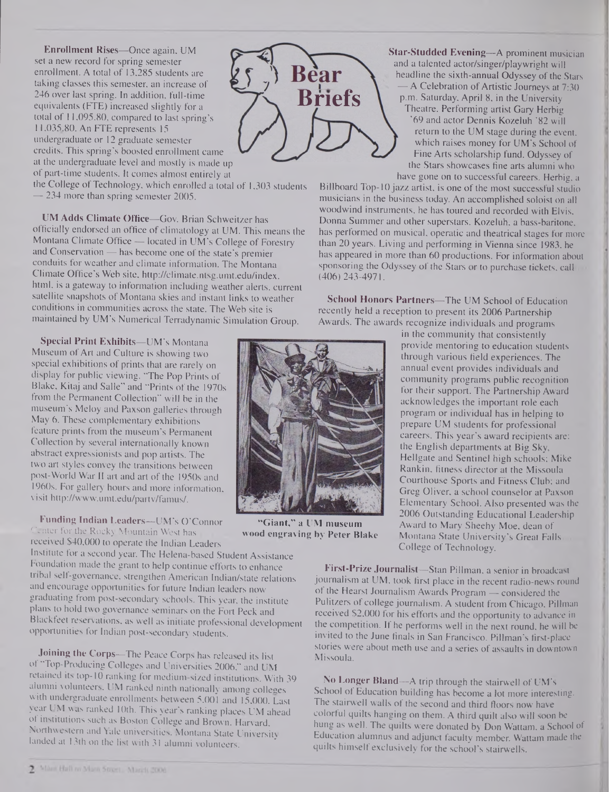**Enrollment Rises—**Once again, UM set a new record for spring semester enrollment. A total of 13,285 students are taking classes this semester, an increase of 246 over last spring. In addition, full-time equivalents (FTE) increased slightly for a total of 11,095.80, compared to last spring's 11,035,80. An FTE represents 15 undergraduate or 12 graduate semester credits. This spring's boosted enrollment came at the undergraduate level and mostly is made up of part-time students. It comes almost entirely at

the College of Technology, which enrolled a total of 1,303 students — 234 more than spring semester 2005.

UM Adds Climate Office—Gov. Brian Schweitzer has officially endorsed an office of climatology at UM. This means the Montana Climate Office — located in UM's College of Forestry and Conservation — has become one of the state's premier conduits for weather and climate information. The Montana Climate Office's Web site, <http://climate.ntsg.umt.edu/index>. html, is a gateway to information including weather alerts, current satellite snapshots of Montana skies and instant links to weather conditions in communities across the state. The Web site is maintained by UM's Numerical Terradynamic Simulation Group.

**Special Print Exhibits—**UM's Montana Museum of Art and Culture is showing two special exhibitions of prints that are rarely on display for public viewing. "The Pop Prints of Blake, Kitaj and Salle" and "Prints of the 1970s from the Permanent Collection" will be in the museum's Meloy and Paxson galleries through May 6. These complementary exhibitions feature prints from the museum's Permanent Collection by several internationally known abstract expressionists and pop artists. The two art styles convey the transitions between post-World War II art and art of the 1950s and 1960s. For gallery hours arid more information, visit <http://www.umt.edu/partv/famus/>.

Funding Indian Leaders—UM's O'Connor Center for the Rocky Mountain West has received \$40,000 to operate the Indian Leaders

Institute for a second year. The Helena-based Student Assistance Foundation made the grant to help continue efforts to enhance tribal self-governance, strengthen American Indian/state relations and encourage opportunities for future Indian leaders now graduating from post-secondary schools. This year, the institute plans to hold two governance seminars on the Fort Peck and Blackfeet reservations, as well as initiate professional development opportunities for Indian post-secondary students.

Joining the Corps—The Peace Corps has released its list of "Top-Producing Colleges and Universities 2006," and UM retained its top-10 ranking for medium-sized institutions. With 39 alumni volunteers, UM ranked ninth nationally among colleges with undergraduate enrollments between 5,001 and 15,000. Last year UM was ranked 10th. This year's ranking places UM ahead of institutions such as Boston College and Brown, Harvard, Northwestern and Yale universities. Montana State University landed at 13th on the list with 31 alumni volunteers.



Star-Studded Evening—A prominent musician and a talented actor/singer/playwright will headline the sixth-annual Odyssey of the Stars A Celebration of Artistic Journeys at 7:30 p.m. Saturday, April 8, in the University Theatre. Performing artist Gary Herbig '69 and actor Dennis Kozeluh '82 will return to the UM stage during the event, which raises money for UM's School of Fine Arts scholarship fund. Odyssey of the Stars showcases fine arts alumni who have gone on to successful careers. Herbig, a

Billboard Top-10 jazz artist, is one of the most successful studio musicians in the business today. An accomplished soloist on all woodwind instruments, he has toured and recorded with Elvis, Donna Summer and other superstars. Kozeluh, a bass-baritone, has performed on musical, operatic and theatrical stages for more than 20 years. Living and performing in Vienna since 1983, he has appeared in more than 60 productions. For information about sponsoring the Odyssey of the Stars or to purchase tickets, call (406)243-4971.

School Honors Partners—The UM School of Education recently held a reception to present its 2006 Partnership Awards. The awards recognize individuals and programs



**"Giant," a UM museum wood engraving by Peter Blake**

in the community that consistently provide mentoring to education students through various field experiences. The annual event provides individuals and community programs public recognition for their support. The Partnership Award acknowledges the important role each program or individual has in helping to prepare UM students for professional careers. This year's award recipients are: the English departments at Big Sky, Hellgate and Sentinel high schools; Mike Rankin, fitness director at the Missoula Courthouse Sports and Fitness Club; and Greg Oliver, a school counselor at Paxson Elementary School. Also presented was the 2006 Outstanding Educational Leadership Award to Mary Sheehy Moe, dean of Montana State University's Great Falls College of Technology.

First-Prize Journalist—Stan Pillman, a senior in broadcast journalism at UM, took first place in the recent radio-news round of the Hearst Journalism Awards Program — considered the Pulitzers of college journalism. A student from Chicago, Pillman received \$2,000 for his efforts and the opportunity to advance in the competition. If he performs well in the next round, he will be invited to the June finals in San Francisco. Pillman's first-place stories were about meth use and a series of assaults in downtown Missoula.

No Longer Bland—A trip through the stairwell of UM's School of Education building has become a lot more interesting. The stairwell walls of the second and third floors now have colorful quilts hanging on them. A third quilt also will soon be hung as well. The quilts were donated by Don Wattam, a School of Education alumnus and adjunct faculty member. Wattam made the quilts himself exclusively for the school's stairwells.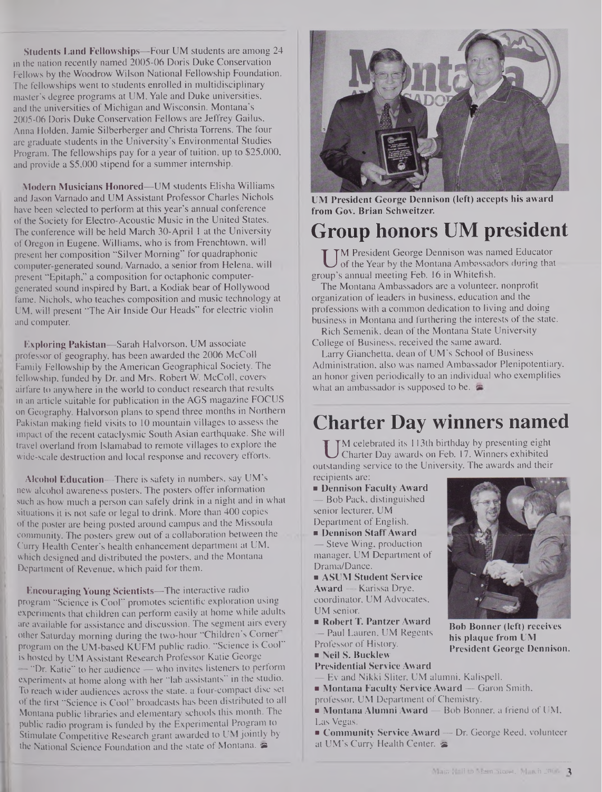**Students Land Fellowships—**Four UM students are among 24 in the nation recently named 2005-06 Doris Duke Conservation Fellows by the Woodrow Wilson National Fellowship Foundation. The fellowships went to students enrolled in multidisciplinary master's degree programs at UM, Yale and Duke universities, and the universities of Michigan and Wisconsin. Montana's 2005-06 Doris Duke Conservation Fellows are Jeffrey Gailus, Anna Holden, Jamie Silberberger and Christa Torrens. The four are graduate students in the University's Environmental Studies Program. The fellowships pay for a year of tuition, up to \$25,000, and provide a \$5,000 stipend for a summer internship.

Modern Musicians Honored—UM students Elisha Williams and Jason Varnado and UM Assistant Professor Charles Nichols have been selected to perform at this year's annual conference of the Society for Electro-Acoustic Music in the United States. The conference will be held March 30-April <sup>1</sup> at the University of Oregon in Eugene. Williams, who is from Frenchtown, will present her composition "Silver Morning" for quadraphonic computer-generated sound. Varnado, a senior from Helena, will present "Epitaph," a composition for octaphonic computergenerated sound inspired by Bart, a Kodiak bear of Hollywood fame. Nichols, who teaches composition and music technology at UM, will present "The Air Inside Our Heads" for electric violin and computer.

Exploring Pakistan—Sarah Halvorson, UM associate .professor of geography, has been awarded the 2006 McColl Family Fellowship by the American Geographical Society. The fellowship, funded by Dr. and Mrs. Robert W. McColl, covers airfare to anywhere in the world to conduct research that results in an article suitable for publication in the AGS magazine FOCUS on Geography. Halvorson plans to spend three months in Northern Pakistan making field visits to 10 mountain villages to assess the impact of the recent cataclysmic South Asian earthquake. She will travel overland from Islamabad to remote villages to explore the wide-scale destruction and local response and recovery efforts.

Alcohol Education—There is safety in numbers, say UM's new alcohol awareness posters. The posters offer information such as how much a person can safely drink in a night and in what situations it is not safe or legal to drink. More than 400 copies of the poster are being posted around campus and the Missoula community. The posters grew out of a collaboration between the Curry Health Center's health enhancement department at UM, which designed and distributed the posters, and the Montana Department of Revenue, which paid for them.

Encouraging Young Scientists—The interactive radio program "Science is Cool" promotes scientific exploration using experiments that children can perform easily at home while adults are available for assistance and discussion. The segment airs every other Saturday morning during the two-hour "Children's Corner program on the UM-based KUFM public radio. "Science is Cool" is hosted by UM Assistant Research Professor Katie George — "Dr. Katie" to her audience — who invites listeners to perform experiments at home along with her "lab assistants" in the studio. To reach wider audiences across the state, a four-compact disc set of the first "Science is Cool" broadcasts has been distributed to all Montana public libraries and elementary schools this month. The public radio program is funded by the Experimental Program to Stimulate Competitive Research grant awarded to UM jointly by the National Science Foundation and the state of Montana.



UM President George Dennison (left) accepts his award from Gov. Brian Schweitzer.

# **Group honors UM president**

UM President George Dennison was named Ecords of the Year by the Montana Ambassadors during Feb. 16 in Whitefish. **TM President George Dennison was named Educator** of the Year by the Montana Ambassadors during that

The Montana Ambassadors are a volunteer, nonprofit organization of leaders in business, education and the professions with a common dedication to living and doing business in Montana and furthering the interests of the state.

Rich Semenik, dean of the Montana State University College of Business, received the same award.

Larry Gianchetta, dean of UM's School of Business Administration, also was named Ambassador Plenipotentiary, an honor given periodically to an individual who exemplifies what an ambassador is supposed to be.

### **Charter Day winners named**

UM celebrated its 113th birthday by presenting eight<br>Charter Day awards on Feb. 17. Winners exhibited<br>istanding service to the University. The awards and their M celebrated its 113th birthday by presenting eight Charter Day awards on Feb. 17. Winners exhibited recipients are:

Dennison Faculty Award — Bob Pack, distinguished senior lecturer, UM Department of English. Dennison StaffAward Steve Wing, production manager, UM Department of Drama/Dance. **BIGGS** ASUM Student Service Award — Karissa Drye, coordinator, UM Advocates, UM senior. Robert T. Pantzer Award Paul Lauren, UM Regents Professor of History. ■ Neil S. Bucklew Presidential Service Award



Bob Bonner (left) receives his plaque from UM President George Dennison.

— Ev and Nikki Sliter, UM alumni, Kalispell. **Montana Faculty Service Award** — Garon Smith,

professor, UM Department of Chemistry.

Montana Alumni Award — Bob Bonner, a friend of UM, Las Vegas.

**Community Service Award** — Dr. George Reed, volunteer at UM's Curry Health Center.